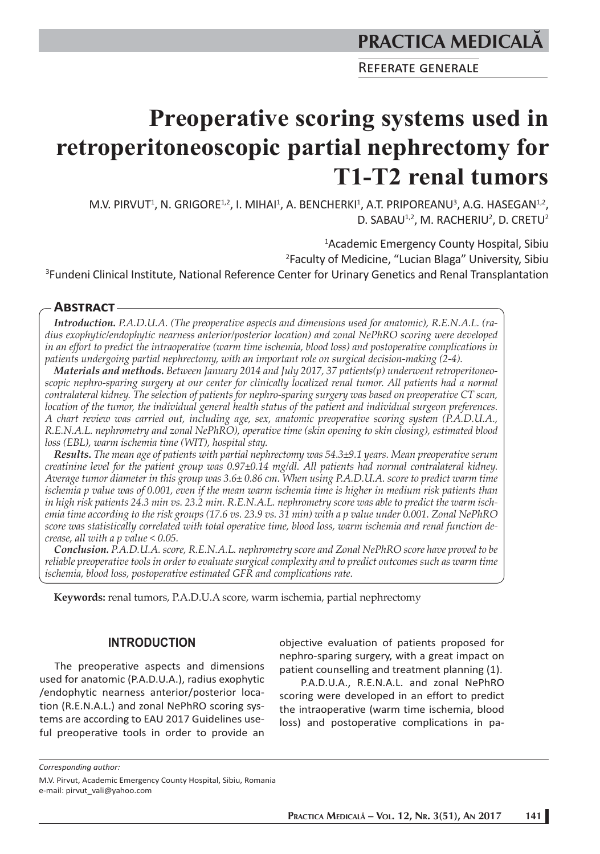REFERATE GENERALE

# **Preoperative scoring systems used in retroperitoneoscopic partial nephrectomy for T1-T2 renal tumors**

M.V. PIRVUT<sup>1</sup>, N. GRIGORE<sup>1,2</sup>, I. MIHAI<sup>1</sup>, A. BENCHERKI<sup>1</sup>, A.T. PRIPOREANU<sup>3</sup>, A.G. HASEGAN<sup>1,2</sup>, D. SABAU<sup>1,2</sup>, M. RACHERIU<sup>2</sup>, D. CRETU<sup>2</sup>

1 Academic Emergency County Hospital, Sibiu 2 Faculty of Medicine, "Lucian Blaga" University, Sibiu 3 Fundeni Clinical Institute, National Reference Center for Urinary Genetics and Renal Transplantation

# **ABSTRACT**

*Introduction. P.A.D.U.A. (The preoperative aspects and dimensions used for anatomic), R.E.N.A.L. (radius exophytic/endophytic nearness anterior/posterior location) and zonal NePhRO scoring were developed in an effort to predict the intraoperative (warm time ischemia, blood loss) and postoperative complications in patients undergoing partial nephrectomy, with an important role on surgical decision-making (2-4).*

*Materials and methods. Between January 2014 and July 2017, 37 patients(p) underwent retroperitoneoscopic nephro-sparing surgery at our center for clinically localized renal tumor. All patients had a normal contralateral kidney. The selection of patients for nephro-sparing surgery was based on preoperative CT scan, location of the tumor, the individual general health status of the patient and individual surgeon preferences. A chart review was carried out, including age, sex, anatomic preoperative scoring system (P.A.D.U.A., R.E.N.A.L. nephrometry and zonal NePhRO), operative time (skin opening to skin closing), estimated blood loss (EBL), warm ischemia time (WIT), hospital stay.*

*Results. The mean age of patients with partial nephrectomy was 54.3±9.1 years. Mean preoperative serum creatinine level for the patient group was 0.97±0.14 mg/dl. All patients had normal contralateral kidney. Average tumor diameter in this group was 3.6± 0.86 cm. When using P.A.D.U.A. score to predict warm time ischemia p value was of 0.001, even if the mean warm ischemia time is higher in medium risk patients than in high risk patients 24.3 min vs. 23.2 min. R.E.N.A.L. nephrometry score was able to predict the warm ischemia time according to the risk groups (17.6 vs. 23.9 vs. 31 min) with a p value under 0.001. Zonal NePhRO score was statistically correlated with total operative time, blood loss, warm ischemia and renal function decrease, all with a p value < 0.05.*

*Conclusion. P.A.D.U.A. score, R.E.N.A.L. nephrometry score and Zonal NePhRO score have proved to be reliable preoperative tools in order to evaluate surgical complexity and to predict outcomes such as warm time ischemia, blood loss, postoperative estimated GFR and complications rate.*

**Keywords:** renal tumors, P.A.D.U.A score, warm ischemia, partial nephrectomy

# **INTRODUCTION**

The preoperative aspects and dimensions used for anatomic (P.A.D.U.A.), radius exophytic /endophytic nearness anterior/posterior location (R.E.N.A.L.) and zonal NePhRO scoring systems are according to EAU 2017 Guidelines useful preoperative tools in order to provide an

objective evaluation of patients proposed for nephro-sparing surgery, with a great impact on patient counselling and treatment planning (1).

 P.A.D.U.A., R.E.N.A.L. and zonal NePhRO scoring were developed in an effort to predict the intraoperative (warm time ischemia, blood loss) and postoperative complications in pa-

*Corresponding author:* 

M.V. Pirvut, Academic Emergency County Hospital, Sibiu, Romania e-mail: pirvut\_vali@yahoo.com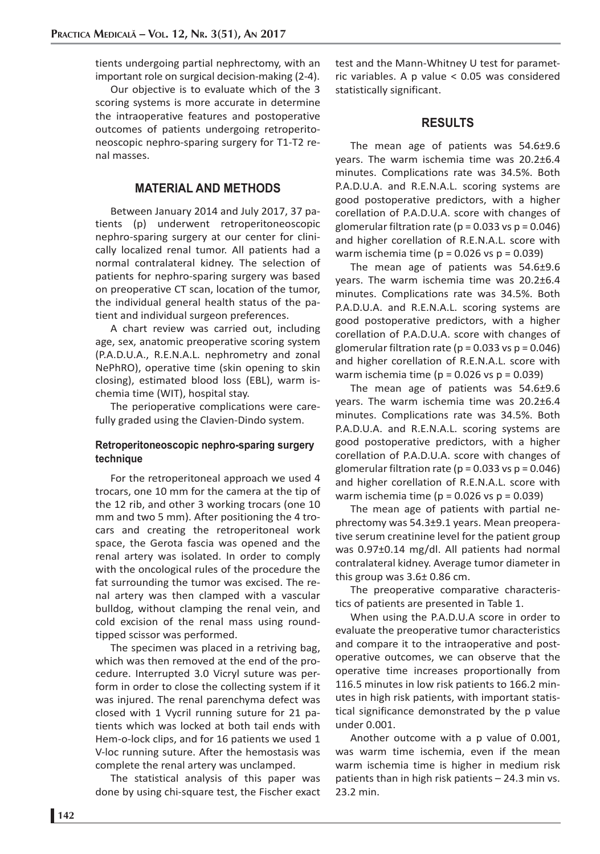tients undergoing partial nephrectomy, with an important role on surgical decision-making (2-4).

Our objective is to evaluate which of the 3 scoring systems is more accurate in determine the intraoperative features and postoperative outcomes of patients undergoing retroperitoneoscopic nephro-sparing surgery for T1-T2 renal masses.

# **MATERIAL AND METHODS**

Between January 2014 and July 2017, 37 patients (p) underwent retroperitoneoscopic nephro-sparing surgery at our center for clinically localized renal tumor. All patients had a normal contralateral kidney. The selection of patients for nephro-sparing surgery was based on preoperative CT scan, location of the tumor, the individual general health status of the patient and individual surgeon preferences.

A chart review was carried out, including age, sex, anatomic preoperative scoring system (P.A.D.U.A., R.E.N.A.L. nephrometry and zonal NePhRO), operative time (skin opening to skin closing), estimated blood loss (EBL), warm ischemia time (WIT), hospital stay.

The perioperative complications were carefully graded using the Clavien-Dindo system.

### **Retroperitoneoscopic nephro-sparing surgery technique**

For the retroperitoneal approach we used 4 trocars, one 10 mm for the camera at the tip of the 12 rib, and other 3 working trocars (one 10 mm and two 5 mm). After positioning the 4 trocars and creating the retroperitoneal work space, the Gerota fascia was opened and the renal artery was isolated. In order to comply with the oncological rules of the procedure the fat surrounding the tumor was excised. The renal artery was then clamped with a vascular bulldog, without clamping the renal vein, and cold excision of the renal mass using roundtipped scissor was performed.

The specimen was placed in a retriving bag, which was then removed at the end of the procedure. Interrupted 3.0 Vicryl suture was perform in order to close the collecting system if it was injured. The renal parenchyma defect was closed with 1 Vycril running suture for 21 patients which was locked at both tail ends with Hem-o-lock clips, and for 16 patients we used 1 V-loc running suture. After the hemostasis was complete the renal artery was unclamped.

The statistical analysis of this paper was done by using chi-square test, the Fischer exact test and the Mann-Whitney U test for parametric variables. A p value < 0.05 was considered statistically significant.

## **RESULTS**

The mean age of patients was 54.6±9.6 years. The warm ischemia time was 20.2±6.4 minutes. Complications rate was 34.5%. Both P.A.D.U.A. and R.E.N.A.L. scoring systems are good postoperative predictors, with a higher corellation of P.A.D.U.A. score with changes of glomerular filtration rate ( $p = 0.033$  vs  $p = 0.046$ ) and higher corellation of R.E.N.A.L. score with warm ischemia time ( $p = 0.026$  vs  $p = 0.039$ )

The mean age of patients was 54.6±9.6 years. The warm ischemia time was 20.2±6.4 minutes. Complications rate was 34.5%. Both P.A.D.U.A. and R.E.N.A.L. scoring systems are good postoperative predictors, with a higher corellation of P.A.D.U.A. score with changes of glomerular filtration rate ( $p = 0.033$  vs  $p = 0.046$ ) and higher corellation of R.E.N.A.L. score with warm ischemia time ( $p = 0.026$  vs  $p = 0.039$ )

The mean age of patients was 54.6±9.6 years. The warm ischemia time was 20.2±6.4 minutes. Complications rate was 34.5%. Both P.A.D.U.A. and R.E.N.A.L. scoring systems are good postoperative predictors, with a higher corellation of P.A.D.U.A. score with changes of glomerular filtration rate ( $p = 0.033$  vs  $p = 0.046$ ) and higher corellation of R.E.N.A.L. score with warm ischemia time ( $p = 0.026$  vs  $p = 0.039$ )

The mean age of patients with partial nephrectomy was 54.3±9.1 years. Mean preoperative serum creatinine level for the patient group was 0.97±0.14 mg/dl. All patients had normal contralateral kidney. Average tumor diameter in this group was  $3.6\pm 0.86$  cm.

The preoperative comparative characteristics of patients are presented in Table 1.

When using the P.A.D.U.A score in order to evaluate the preoperative tumor characteristics and compare it to the intraoperative and postoperative outcomes, we can observe that the operative time increases proportionally from 116.5 minutes in low risk patients to 166.2 minutes in high risk patients, with important statistical significance demonstrated by the p value under 0.001.

Another outcome with a p value of 0.001, was warm time ischemia, even if the mean warm ischemia time is higher in medium risk patients than in high risk patients – 24.3 min vs. 23.2 min.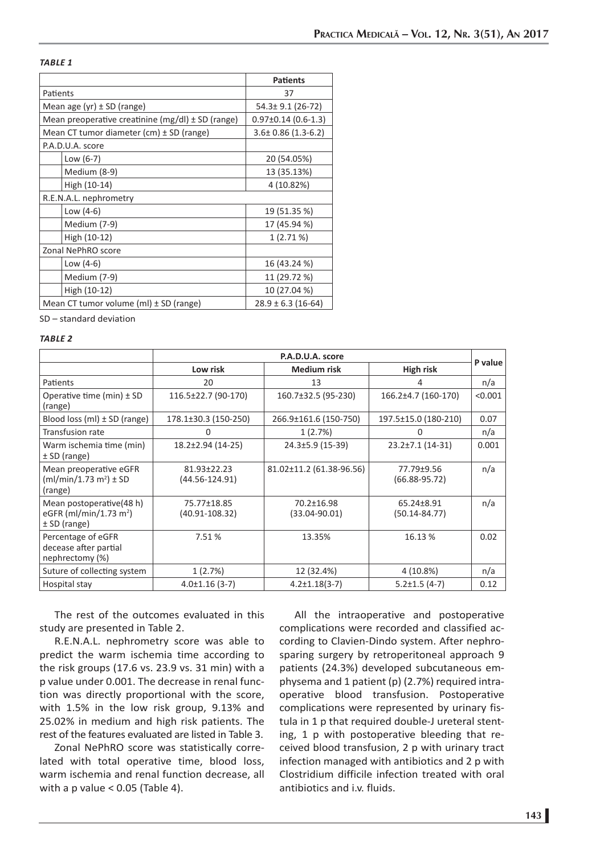#### *TABLE 1*

|                                                       | <b>Patients</b>          |  |  |
|-------------------------------------------------------|--------------------------|--|--|
| Patients                                              | 37                       |  |  |
| Mean age $(yr) \pm SD$ (range)                        | 54.3± 9.1 (26-72)        |  |  |
| Mean preoperative creatinine (mg/dl) $\pm$ SD (range) | $0.97\pm0.14$ (0.6-1.3)  |  |  |
| Mean CT tumor diameter $(cm) \pm SD$ (range)          | $3.6 \pm 0.86$ (1.3-6.2) |  |  |
| P.A.D.U.A. score                                      |                          |  |  |
| Low $(6-7)$                                           | 20 (54.05%)              |  |  |
| Medium (8-9)                                          | 13 (35.13%)              |  |  |
| High (10-14)                                          | 4 (10.82%)               |  |  |
| R.E.N.A.L. nephrometry                                |                          |  |  |
| Low $(4-6)$                                           | 19 (51.35 %)             |  |  |
| Medium (7-9)                                          | 17 (45.94 %)             |  |  |
| High (10-12)                                          | 1 (2.71 %)               |  |  |
| Zonal NePhRO score                                    |                          |  |  |
| Low $(4-6)$                                           | 16 (43.24 %)             |  |  |
| Medium (7-9)                                          | 11 (29.72 %)             |  |  |
| High (10-12)                                          | 10 (27.04 %)             |  |  |
| Mean CT tumor volume (ml) $\pm$ SD (range)            | $28.9 \pm 6.3$ (16-64)   |  |  |

SD – standard deviation

#### *TABLE 2*

|                                                                                  | P.A.D.U.A. score              |                                 |                                 |         |  |  |
|----------------------------------------------------------------------------------|-------------------------------|---------------------------------|---------------------------------|---------|--|--|
|                                                                                  | Low risk                      | <b>Medium risk</b>              | High risk                       | P value |  |  |
| Patients                                                                         | 20                            | 13                              | 4                               | n/a     |  |  |
| Operative time (min) $\pm$ SD<br>(range)                                         | 116.5±22.7 (90-170)           | 160.7±32.5 (95-230)             | 166.2±4.7 (160-170)             | < 0.001 |  |  |
| Blood loss (ml) $\pm$ SD (range)                                                 | 178.1±30.3 (150-250)          | 266.9±161.6 (150-750)           | 197.5±15.0 (180-210)            | 0.07    |  |  |
| <b>Transfusion rate</b>                                                          |                               | 1(2.7%)                         |                                 | n/a     |  |  |
| Warm ischemia time (min)<br>$±$ SD (range)                                       | 18.2±2.94 (14-25)             | 24.3±5.9 (15-39)                | 23.2±7.1 (14-31)                | 0.001   |  |  |
| Mean preoperative eGFR<br>(ml/min/1.73 m <sup>2</sup> ) ± SD<br>(range)          | 81.93±22.23<br>(44.56-124.91) | 81.02±11.2 (61.38-96.56)        | 77.79±9.56<br>$(66.88 - 95.72)$ | n/a     |  |  |
| Mean postoperative(48 h)<br>eGFR (ml/min/1.73 m <sup>2</sup> )<br>$±$ SD (range) | 75.77±18.85<br>(40.91-108.32) | 70.2±16.98<br>$(33.04 - 90.01)$ | 65.24±8.91<br>$(50.14 - 84.77)$ | n/a     |  |  |
| Percentage of eGFR<br>decease after partial<br>nephrectomy (%)                   | 7.51 %                        | 13.35%                          | 16.13 %                         | 0.02    |  |  |
| Suture of collecting system                                                      | 1(2.7%)                       | 12 (32.4%)                      | 4 (10.8%)                       | n/a     |  |  |
| Hospital stay                                                                    | $4.0 \pm 1.16$ (3-7)          | $4.2 \pm 1.18(3 - 7)$           | $5.2 \pm 1.5$ (4-7)             | 0.12    |  |  |

The rest of the outcomes evaluated in this study are presented in Table 2.

R.E.N.A.L. nephrometry score was able to predict the warm ischemia time according to the risk groups (17.6 vs. 23.9 vs. 31 min) with a p value under 0.001. The decrease in renal function was directly proportional with the score, with 1.5% in the low risk group, 9.13% and 25.02% in medium and high risk patients. The rest of the features evaluated are listed in Table 3.

Zonal NePhRO score was statistically correlated with total operative time, blood loss, warm ischemia and renal function decrease, all with a p value  $< 0.05$  (Table 4).

All the intraoperative and postoperative complications were recorded and classified according to Clavien-Dindo system. After nephrosparing surgery by retroperitoneal approach 9 patients (24.3%) developed subcutaneous emphysema and 1 patient (p) (2.7%) required intraoperative blood transfusion. Postoperative complications were represented by urinary fistula in 1 p that required double-J ureteral stenting, 1 p with postoperative bleeding that received blood transfusion, 2 p with urinary tract infection managed with antibiotics and 2 p with Clostridium difficile infection treated with oral antibiotics and i.v. fluids.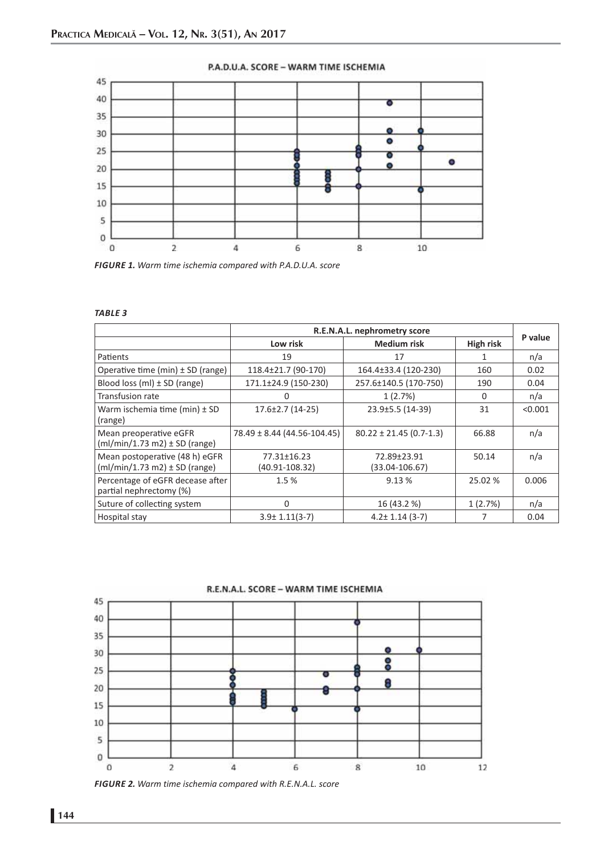

#### P.A.D.U.A. SCORE - WARM TIME ISCHEMIA

*FIGURE 1. Warm time ischemia compared with P.A.D.U.A. score*

*TABLE 3*

|                                                                     | R.E.N.A.L. nephrometry score    |                                   |           |         |  |
|---------------------------------------------------------------------|---------------------------------|-----------------------------------|-----------|---------|--|
|                                                                     | Low risk                        | <b>Medium risk</b>                | High risk | P value |  |
| Patients                                                            | 19                              | 17                                |           | n/a     |  |
| Operative time (min) $\pm$ SD (range)                               | 118.4±21.7 (90-170)             | 164.4±33.4 (120-230)              | 160       | 0.02    |  |
| Blood loss (ml) $\pm$ SD (range)                                    | 171.1±24.9 (150-230)            | 257.6±140.5 (170-750)             | 190       | 0.04    |  |
| Transfusion rate                                                    | O                               | 1(2.7%)                           | $\Omega$  | n/a     |  |
| Warm ischemia time (min) $\pm$ SD<br>(range)                        | $17.6 \pm 2.7$ (14-25)          | 23.9±5.5 (14-39)                  | 31        | < 0.001 |  |
| Mean preoperative eGFR<br>$(mI/min/1.73 m2) \pm SD$ (range)         | $78.49 \pm 8.44$ (44.56-104.45) | $80.22 \pm 21.45 (0.7 - 1.3)$     | 66.88     | n/a     |  |
| Mean postoperative (48 h) eGFR<br>$(mI/min/1.73 m2) \pm SD$ (range) | 77.31±16.23<br>(40.91-108.32)   | 72.89±23.91<br>$(33.04 - 106.67)$ | 50.14     | n/a     |  |
| Percentage of eGFR decease after<br>partial nephrectomy (%)         | 1.5%                            | 9.13%                             | 25.02 %   | 0.006   |  |
| Suture of collecting system                                         | 0                               | 16 (43.2 %)                       | 1(2.7%)   | n/a     |  |
| Hospital stay                                                       | $3.9 \pm 1.11(3-7)$             | $4.2 \pm 1.14$ (3-7)              | 7         | 0.04    |  |





*FIGURE 2. Warm time ischemia compared with R.E.N.A.L. score*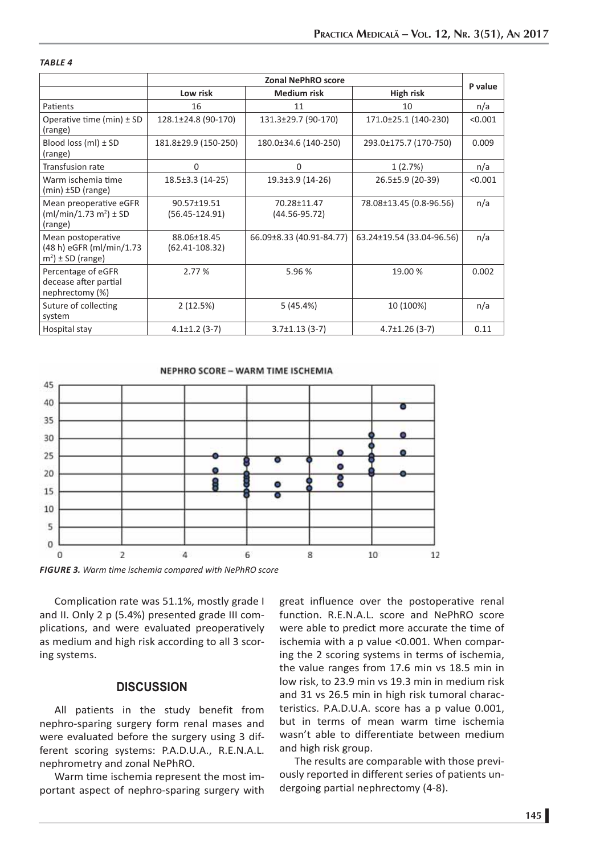#### *TABLE 4*

|                                                                        | <b>Zonal NePhRO score</b>         |                                                             |                           |         |  |
|------------------------------------------------------------------------|-----------------------------------|-------------------------------------------------------------|---------------------------|---------|--|
|                                                                        | Low risk                          | <b>Medium risk</b>                                          | High risk                 | P value |  |
| Patients                                                               | 16                                | 11                                                          | 10                        | n/a     |  |
| Operative time (min) $\pm$ SD<br>(range)                               | 128.1±24.8 (90-170)               | 171.0±25.1 (140-230)<br>131.3±29.7 (90-170)                 |                           | < 0.001 |  |
| Blood loss (ml) $\pm$ SD<br>(range)                                    | 181.8±29.9 (150-250)              | 180.0±34.6 (140-250)                                        | 293.0±175.7 (170-750)     | 0.009   |  |
| Transfusion rate                                                       | 0                                 | 0                                                           | 1(2.7%)                   | n/a     |  |
| Warm ischemia time<br>$(min) \pm SD$ (range)                           | 18.5±3.3 (14-25)                  | $19.3 \pm 3.9$ (14-26)                                      | 26.5±5.9 (20-39)          | < 0.001 |  |
| Mean preoperative eGFR<br>$(mI/min/1.73 m2) \pm SD$<br>(range)         | 90.57±19.51<br>$(56.45 - 124.91)$ | 78.08±13.45 (0.8-96.56)<br>70.28±11.47<br>$(44.56 - 95.72)$ |                           | n/a     |  |
| Mean postoperative<br>(48 h) eGFR (ml/min/1.73<br>$m^2$ ) ± SD (range) | 88.06±18.45<br>$(62.41 - 108.32)$ | 66.09±8.33 (40.91-84.77)                                    | 63.24±19.54 (33.04-96.56) | n/a     |  |
| Percentage of eGFR<br>decease after partial<br>nephrectomy (%)         | 2.77 %                            | 5.96%                                                       | 19.00 %                   | 0.002   |  |
| Suture of collecting<br>system                                         | 2(12.5%)                          | 5 (45.4%)                                                   | 10 (100%)                 | n/a     |  |
| Hospital stay                                                          | $4.1 \pm 1.2$ (3-7)               | $3.7 \pm 1.13$ (3-7)                                        | $4.7 \pm 1.26$ (3-7)      | 0.11    |  |

NEPHRO SCORE - WARM TIME ISCHEMIA



Complication rate was 51.1%, mostly grade I and II. Only 2 p (5.4%) presented grade III complications, and were evaluated preoperatively as medium and high risk according to all 3 scoring systems.

## **DISCUSSION**

All patients in the study benefit from nephro-sparing surgery form renal mases and were evaluated before the surgery using 3 different scoring systems: P.A.D.U.A., R.E.N.A.L. nephrometry and zonal NePhRO.

Warm time ischemia represent the most important aspect of nephro-sparing surgery with

great influence over the postoperative renal function. R.E.N.A.L. score and NePhRO score were able to predict more accurate the time of ischemia with a p value <0.001. When comparing the 2 scoring systems in terms of ischemia, the value ranges from 17.6 min vs 18.5 min in low risk, to 23.9 min vs 19.3 min in medium risk and 31 vs 26.5 min in high risk tumoral characteristics. P.A.D.U.A. score has a p value 0.001, but in terms of mean warm time ischemia wasn't able to differentiate between medium and high risk group.

The results are comparable with those previously reported in different series of patients undergoing partial nephrectomy (4-8).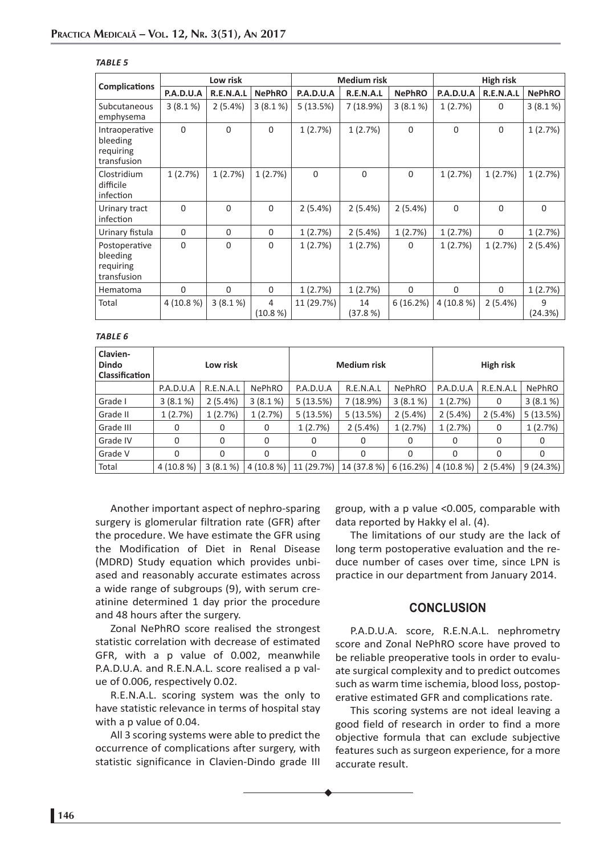| <b>Complications</b>                                   | Low risk         |                |               | <b>Medium risk</b> |                |               | <b>High risk</b> |             |               |
|--------------------------------------------------------|------------------|----------------|---------------|--------------------|----------------|---------------|------------------|-------------|---------------|
|                                                        | <b>P.A.D.U.A</b> | R.E.N.A.L      | <b>NePhRO</b> | P.A.D.U.A          | R.E.N.A.L      | <b>NePhRO</b> | P.A.D.U.A        | R.E.N.A.L   | <b>NePhRO</b> |
| Subcutaneous<br>emphysema                              | 3(8.1%)          | 2(5.4%)        | 3(8.1%)       | 5(13.5%)           | 7(18.9%)       | $3(8.1\%)$    | 1(2.7%)          | $\mathbf 0$ | 3(8.1%)       |
| Intraoperative<br>bleeding<br>requiring<br>transfusion | $\Omega$         | $\Omega$       | 0             | 1(2.7%)            | 1(2.7%)        | $\Omega$      | $\Omega$         | $\Omega$    | 1(2.7%)       |
| Clostridium<br>difficile<br>infection                  | 1(2.7%)          | 1(2.7%)        | 1(2.7%)       | $\Omega$           | $\Omega$       | $\Omega$      | 1(2.7%)          | 1(2.7%)     | 1(2.7%)       |
| Urinary tract<br>infection                             | $\Omega$         | $\Omega$       | 0             | 2(5.4%)            | 2(5.4%)        | 2(5.4%)       | $\Omega$         | $\Omega$    | $\Omega$      |
| Urinary fistula                                        | $\Omega$         | $\Omega$       | 0             | 1(2.7%)            | 2(5.4%)        | 1(2.7%)       | 1(2.7%)          | $\Omega$    | 1(2.7%)       |
| Postoperative<br>bleeding<br>requiring<br>transfusion  | $\Omega$         | $\Omega$       | $\Omega$      | 1(2.7%)            | 1(2.7%)        | $\Omega$      | 1(2.7%)          | 1(2.7%)     | 2(5.4%)       |
| Hematoma                                               | 0                | $\overline{0}$ | $\mathbf 0$   | 1(2.7%)            | 1(2.7%)        | $\Omega$      | $\mathbf 0$      | $\mathbf 0$ | 1(2.7%)       |
| Total                                                  | 4(10.8%)         | 3(8.1%)        | 4<br>(10.8 %) | 11 (29.7%)         | 14<br>(37.8 %) | 6(16.2%)      | $4(10.8\%)$      | 2(5.4%)     | 9<br>(24.3%)  |

#### *TABLE 5*

#### *TABLE 6*

| Clavien-<br><b>Dindo</b><br><b>Classification</b> | Low risk    |            |               | <b>Medium risk</b> |                                                    |         | High risk    |           |          |
|---------------------------------------------------|-------------|------------|---------------|--------------------|----------------------------------------------------|---------|--------------|-----------|----------|
|                                                   | P.A.D.U.A   | R.E.N.A.L  | <b>NePhRO</b> | P.A.D.U.A          | R.E.N.A.L                                          | NePhRO  | P.A.D.U.A    | R.E.N.A.L | NePhRO   |
| Grade I                                           | 3(8.1%      | 2(5.4%)    | 3(8.1%        | 5(13.5%)           | 7(18.9%)                                           | 3(8.1%  | 1(2.7%)      | 0         | 3(8.1%   |
| Grade II                                          | 1(2.7%)     | 1(2.7%)    | 1(2.7%)       | 5(13.5%)           | 5(13.5%)                                           | 2(5.4%) | 2(5.4%)      | 2(5.4%)   | 5(13.5%) |
| Grade III                                         | 0           | 0          | 0             | 1(2.7%)            | 2(5.4%)                                            | 1(2.7%) | 1(2.7%)      | 0         | 1(2.7%)  |
| Grade IV                                          | 0           | $\Omega$   | 0             | 0                  | 0                                                  | 0       | 0            | 0         | 0        |
| Grade V                                           | 0           | $\Omega$   | 0             | 0                  | $\Omega$                                           | 0       | $\Omega$     | 0         | 0        |
| Total                                             | $4(10.8\%)$ | $3(8.1\%)$ |               |                    | $4(10.8\%)$   11 (29.7%)   14 (37.8 %)   6 (16.2%) |         | $(4(10.8\%)$ | 2(5.4%)   | 9(24.3%) |

Another important aspect of nephro-sparing surgery is glomerular filtration rate (GFR) after the procedure. We have estimate the GFR using the Modification of Diet in Renal Disease (MDRD) Study equation which provides unbiased and reasonably accurate estimates across a wide range of subgroups (9), with serum creatinine determined 1 day prior the procedure and 48 hours after the surgery.

Zonal NePhRO score realised the strongest statistic correlation with decrease of estimated GFR, with a p value of 0.002, meanwhile P.A.D.U.A. and R.E.N.A.L. score realised a p value of 0.006, respectively 0.02.

R.E.N.A.L. scoring system was the only to have statistic relevance in terms of hospital stay with a p value of 0.04.

All 3 scoring systems were able to predict the occurrence of complications after surgery, with statistic significance in Clavien-Dindo grade III

group, with a p value <0.005, comparable with data reported by Hakky el al. (4).

The limitations of our study are the lack of long term postoperative evaluation and the reduce number of cases over time, since LPN is practice in our department from January 2014.

## **CONCLUSION**

P.A.D.U.A. score, R.E.N.A.L. nephrometry score and Zonal NePhRO score have proved to be reliable preoperative tools in order to evaluate surgical complexity and to predict outcomes such as warm time ischemia, blood loss, postoperative estimated GFR and complications rate.

This scoring systems are not ideal leaving a good field of research in order to find a more objective formula that can exclude subjective features such as surgeon experience, for a more accurate result.